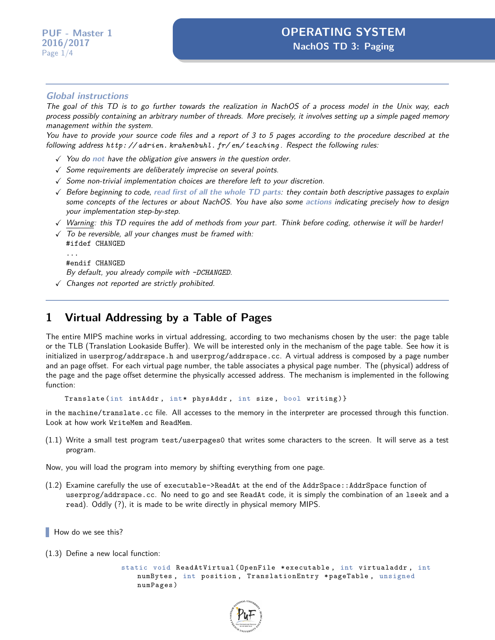## **Global instructions**

The goal of this TD is to go further towards the realization in NachOS of a process model in the Unix way, each process possibly containing an arbitrary number of threads. More precisely, it involves setting up a simple paged memory management within the system.

You have to provide your source code files and a report of 3 to 5 pages according to the procedure described at the following address *[http: // adrien. krahenbuhl. fr/ en/ teaching](http://adrien.krahenbuhl.fr/en/teaching)* . Respect the following rules:

- X You do **not** have the obligation give answers in the question order.
- $\sqrt{\ }$  Some requirements are deliberately imprecise on several points.
- $\sqrt{\ }$  Some non-trivial implementation choices are therefore left to your discretion.
- X Before beginning to code, **read first of all the whole TD parts**: they contain both descriptive passages to explain some concepts of the lectures or about NachOS. You have also some **actions** indicating precisely how to design your implementation step-by-step.
- $\sqrt{ }$  Warning: this TD requires the add of methods from your part. Think before coding, otherwise it will be harder!
- $\sqrt{ }$  To be reversible, all your changes must be framed with: #ifdef CHANGED ... #endif CHANGED By default, you already compile with *-DCHANGED*.
- $\sqrt{}$  Changes not reported are strictly prohibited.

## **1 Virtual Addressing by a Table of Pages**

The entire MIPS machine works in virtual addressing, according to two mechanisms chosen by the user: the page table or the TLB (Translation Lookaside Buffer). We will be interested only in the mechanism of the page table. See how it is initialized in userprog/addrspace.h and userprog/addrspace.cc. A virtual address is composed by a page number and an page offset. For each virtual page number, the table associates a physical page number. The (physical) address of the page and the page offset determine the physically accessed address. The mechanism is implemented in the following function:

Translate (int intAddr, int\* physAddr, int size, bool writing)}

in the machine/translate.cc file. All accesses to the memory in the interpreter are processed through this function. Look at how work WriteMem and ReadMem.

(1.1) Write a small test program test/userpages0 that writes some characters to the screen. It will serve as a test program.

Now, you will load the program into memory by shifting everything from one page.

(1.2) Examine carefully the use of executable->ReadAt at the end of the AddrSpace::AddrSpace function of userprog/addrspace.cc. No need to go and see ReadAt code, it is simply the combination of an lseek and a read). Oddly (?), it is made to be write directly in physical memory MIPS.

How do we see this?

(1.3) Define a new local function:

```
static void ReadAtVirtual (OpenFile *executable, int virtualaddr, int
   numBytes , int position , TranslationEntry * pageTable , unsigned
   numPages )
```
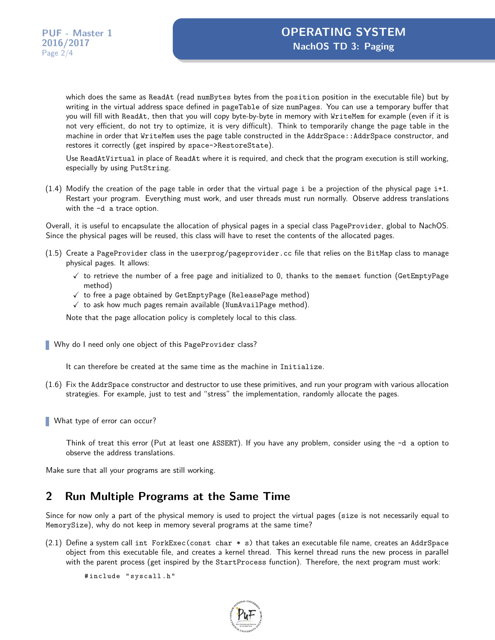which does the same as ReadAt (read numBytes bytes from the position position in the executable file) but by writing in the virtual address space defined in pageTable of size numPages. You can use a temporary buffer that you will fill with ReadAt, then that you will copy byte-by-byte in memory with WriteMem for example (even if it is not very efficient, do not try to optimize, it is very difficult). Think to temporarily change the page table in the machine in order that WriteMem uses the page table constructed in the AddrSpace::AddrSpace constructor, and restores it correctly (get inspired by space->RestoreState).

Use ReadAtVirtual in place of ReadAt where it is required, and check that the program execution is still working, especially by using PutString.

 $(1.4)$  Modify the creation of the page table in order that the virtual page i be a projection of the physical page i+1. Restart your program. Everything must work, and user threads must run normally. Observe address translations with the -d a trace option.

Overall, it is useful to encapsulate the allocation of physical pages in a special class PageProvider, global to NachOS. Since the physical pages will be reused, this class will have to reset the contents of the allocated pages.

- (1.5) Create a PageProvider class in the userprog/pageprovider.cc file that relies on the BitMap class to manage physical pages. It allows:
	- $\checkmark$  to retrieve the number of a free page and initialized to 0, thanks to the memset function (GetEmptyPage method)
	- $\checkmark$  to free a page obtained by GetEmptyPage (ReleasePage method)
	- $\checkmark$  to ask how much pages remain available (NumAvailPage method).

Note that the page allocation policy is completely local to this class.

Why do I need only one object of this PageProvider class?

It can therefore be created at the same time as the machine in Initialize.

(1.6) Fix the AddrSpace constructor and destructor to use these primitives, and run your program with various allocation strategies. For example, just to test and "stress" the implementation, randomly allocate the pages.

What type of error can occur?

Think of treat this error (Put at least one ASSERT). If you have any problem, consider using the -d a option to observe the address translations.

Make sure that all your programs are still working.

## **2 Run Multiple Programs at the Same Time**

Since for now only a part of the physical memory is used to project the virtual pages (size is not necessarily equal to MemorySize), why do not keep in memory several programs at the same time?

 $(2.1)$  Define a system call int ForkExec(const char  $*$  s) that takes an executable file name, creates an AddrSpace object from this executable file, and creates a kernel thread. This kernel thread runs the new process in parallel with the parent process (get inspired by the StartProcess function). Therefore, the next program must work:

# include " syscall . h "

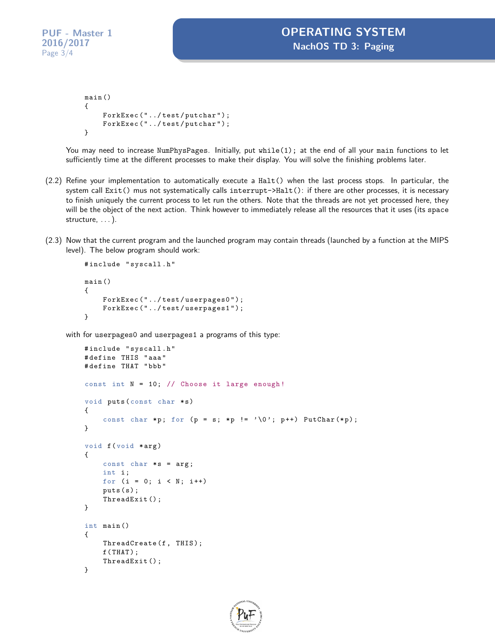```
main ()
{
    ForkExec ("../test/putchar");
    ForkExec ("../test/putchar");
}
```
You may need to increase NumPhysPages. Initially, put while(1); at the end of all your main functions to let sufficiently time at the different processes to make their display. You will solve the finishing problems later.

- (2.2) Refine your implementation to automatically execute a Halt() when the last process stops. In particular, the system call Exit() mus not systematically calls interrupt->Halt(): if there are other processes, it is necessary to finish uniquely the current process to let run the others. Note that the threads are not yet processed here, they will be the object of the next action. Think however to immediately release all the resources that it uses (its space structure, ...).
- (2.3) Now that the current program and the launched program may contain threads (launched by a function at the MIPS level). The below program should work:

```
# include " syscall . h "
main ()
{
    ForkExec ("../test/userpages0");
    ForkExec ("../test/userpages1");
}
```
with for userpages0 and userpages1 a programs of this type:

```
# include " syscall . h "
# define THIS " aaa "
# define THAT " bbb "
const int N = 10; // Choose it large enough!
void puts (const char *s)
{
    const char *p; for (p = s; *p != ' \0'; p++) PutChar(*p);}
void f(void * arg){
    const char *s = arg;int i ;
    for (i = 0; i < N; i++)puts(s);ThreadExit () ;
}
int main ()
{
    ThreadCreate (f, THIS);
    f(THAT);
    ThreadExit () ;
}
```